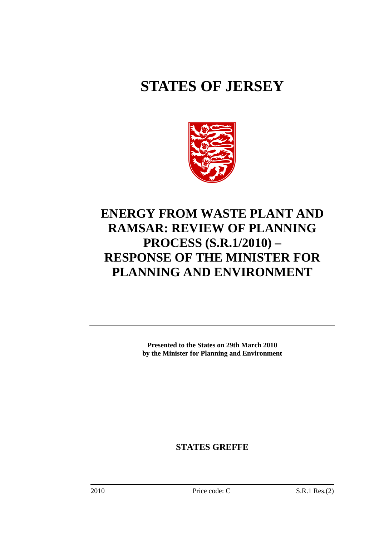# **STATES OF JERSEY**



## **ENERGY FROM WASTE PLANT AND RAMSAR: REVIEW OF PLANNING PROCESS (S.R.1/2010) – RESPONSE OF THE MINISTER FOR PLANNING AND ENVIRONMENT**

**Presented to the States on 29th March 2010 by the Minister for Planning and Environment** 

**STATES GREFFE**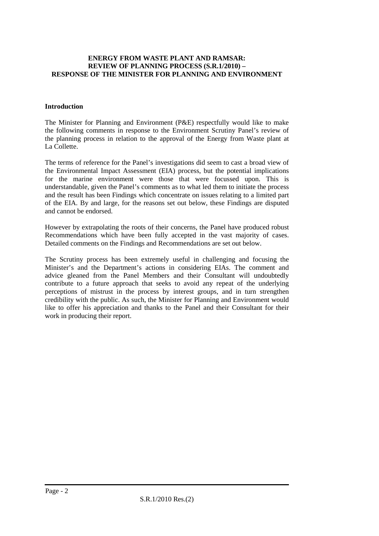#### **ENERGY FROM WASTE PLANT AND RAMSAR: REVIEW OF PLANNING PROCESS (S.R.1/2010) – RESPONSE OF THE MINISTER FOR PLANNING AND ENVIRONMENT**

#### **Introduction**

The Minister for Planning and Environment (P&E) respectfully would like to make the following comments in response to the Environment Scrutiny Panel's review of the planning process in relation to the approval of the Energy from Waste plant at La Collette.

The terms of reference for the Panel's investigations did seem to cast a broad view of the Environmental Impact Assessment (EIA) process, but the potential implications for the marine environment were those that were focussed upon. This is understandable, given the Panel's comments as to what led them to initiate the process and the result has been Findings which concentrate on issues relating to a limited part of the EIA. By and large, for the reasons set out below, these Findings are disputed and cannot be endorsed.

However by extrapolating the roots of their concerns, the Panel have produced robust Recommendations which have been fully accepted in the vast majority of cases. Detailed comments on the Findings and Recommendations are set out below.

The Scrutiny process has been extremely useful in challenging and focusing the Minister's and the Department's actions in considering EIAs. The comment and advice gleaned from the Panel Members and their Consultant will undoubtedly contribute to a future approach that seeks to avoid any repeat of the underlying perceptions of mistrust in the process by interest groups, and in turn strengthen credibility with the public. As such, the Minister for Planning and Environment would like to offer his appreciation and thanks to the Panel and their Consultant for their work in producing their report.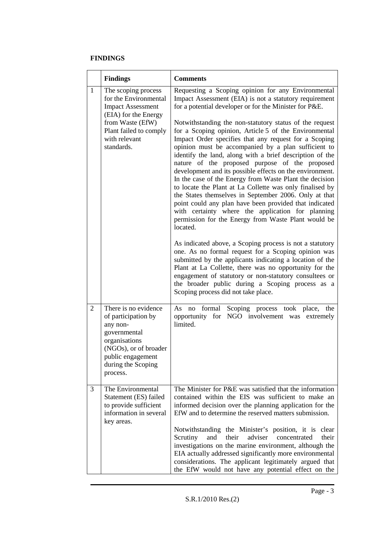#### **FINDINGS**

|   | <b>Findings</b>                                                                                                                                                               | <b>Comments</b>                                                                                                                                                                                                                                                                                                                                                                                                                                                                                                                                                                                                                                                                                                                                                                                                                                                                                                                                                                                                                                                                                                                                                                                                                                                                                                                                      |
|---|-------------------------------------------------------------------------------------------------------------------------------------------------------------------------------|------------------------------------------------------------------------------------------------------------------------------------------------------------------------------------------------------------------------------------------------------------------------------------------------------------------------------------------------------------------------------------------------------------------------------------------------------------------------------------------------------------------------------------------------------------------------------------------------------------------------------------------------------------------------------------------------------------------------------------------------------------------------------------------------------------------------------------------------------------------------------------------------------------------------------------------------------------------------------------------------------------------------------------------------------------------------------------------------------------------------------------------------------------------------------------------------------------------------------------------------------------------------------------------------------------------------------------------------------|
| 1 | The scoping process<br>for the Environmental<br><b>Impact Assessment</b><br>(EIA) for the Energy<br>from Waste (EfW)<br>Plant failed to comply<br>with relevant<br>standards. | Requesting a Scoping opinion for any Environmental<br>Impact Assessment (EIA) is not a statutory requirement<br>for a potential developer or for the Minister for P&E.<br>Notwithstanding the non-statutory status of the request<br>for a Scoping opinion, Article 5 of the Environmental<br>Impact Order specifies that any request for a Scoping<br>opinion must be accompanied by a plan sufficient to<br>identify the land, along with a brief description of the<br>nature of the proposed purpose of the proposed<br>development and its possible effects on the environment.<br>In the case of the Energy from Waste Plant the decision<br>to locate the Plant at La Collette was only finalised by<br>the States themselves in September 2006. Only at that<br>point could any plan have been provided that indicated<br>with certainty where the application for planning<br>permission for the Energy from Waste Plant would be<br>located.<br>As indicated above, a Scoping process is not a statutory<br>one. As no formal request for a Scoping opinion was<br>submitted by the applicants indicating a location of the<br>Plant at La Collette, there was no opportunity for the<br>engagement of statutory or non-statutory consultees or<br>the broader public during a Scoping process as a<br>Scoping process did not take place. |
| 2 | There is no evidence<br>of participation by<br>any non-<br>governmental<br>organisations<br>(NGOs), or of broader<br>public engagement<br>during the Scoping<br>process.      | Scoping process took place, the<br>As no formal<br>NGO involvement was extremely<br>opportunity for<br>limited.                                                                                                                                                                                                                                                                                                                                                                                                                                                                                                                                                                                                                                                                                                                                                                                                                                                                                                                                                                                                                                                                                                                                                                                                                                      |
| 3 | The Environmental<br>Statement (ES) failed<br>to provide sufficient<br>information in several<br>key areas.                                                                   | The Minister for P&E was satisfied that the information<br>contained within the EIS was sufficient to make an<br>informed decision over the planning application for the<br>EfW and to determine the reserved matters submission.<br>Notwithstanding the Minister's position, it is<br>clear<br>their<br>adviser<br>their<br>Scrutiny<br>and<br>concentrated<br>investigations on the marine environment, although the<br>EIA actually addressed significantly more environmental<br>considerations. The applicant legitimately argued that<br>the EfW would not have any potential effect on the                                                                                                                                                                                                                                                                                                                                                                                                                                                                                                                                                                                                                                                                                                                                                    |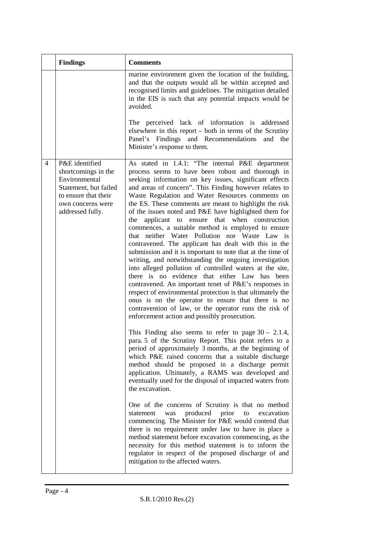| <b>Findings</b>                                                                                                                                                    | <b>Comments</b>                                                                                                                                                                                                                                                                                                                                                                                                                                                                                                                                                                                                                                                                                                                                                                                                                                                                                                                                                                                                                                                                                                                                                                                                                                                                                                                                                                                                                                                                                                                                                                                                                                                                                                                                                                                                                                                                                                                                                                                                                |
|--------------------------------------------------------------------------------------------------------------------------------------------------------------------|--------------------------------------------------------------------------------------------------------------------------------------------------------------------------------------------------------------------------------------------------------------------------------------------------------------------------------------------------------------------------------------------------------------------------------------------------------------------------------------------------------------------------------------------------------------------------------------------------------------------------------------------------------------------------------------------------------------------------------------------------------------------------------------------------------------------------------------------------------------------------------------------------------------------------------------------------------------------------------------------------------------------------------------------------------------------------------------------------------------------------------------------------------------------------------------------------------------------------------------------------------------------------------------------------------------------------------------------------------------------------------------------------------------------------------------------------------------------------------------------------------------------------------------------------------------------------------------------------------------------------------------------------------------------------------------------------------------------------------------------------------------------------------------------------------------------------------------------------------------------------------------------------------------------------------------------------------------------------------------------------------------------------------|
|                                                                                                                                                                    | marine environment given the location of the building,<br>and that the outputs would all be within accepted and<br>recognised limits and guidelines. The mitigation detailed<br>in the EIS is such that any potential impacts would be<br>avoided.                                                                                                                                                                                                                                                                                                                                                                                                                                                                                                                                                                                                                                                                                                                                                                                                                                                                                                                                                                                                                                                                                                                                                                                                                                                                                                                                                                                                                                                                                                                                                                                                                                                                                                                                                                             |
|                                                                                                                                                                    | The perceived lack of information is addressed<br>elsewhere in this report – both in terms of the Scrutiny<br>Panel's Findings and Recommendations<br>and<br>the<br>Minister's response to them.                                                                                                                                                                                                                                                                                                                                                                                                                                                                                                                                                                                                                                                                                                                                                                                                                                                                                                                                                                                                                                                                                                                                                                                                                                                                                                                                                                                                                                                                                                                                                                                                                                                                                                                                                                                                                               |
| P&E identified<br>$\overline{4}$<br>shortcomings in the<br>Environmental<br>Statement, but failed<br>to ensure that their<br>own concerns were<br>addressed fully. | As stated in 1.4.1: "The internal P&E department<br>process seems to have been robust and thorough in<br>seeking information on key issues, significant effects<br>and areas of concern". This Finding however relates to<br>Waste Regulation and Water Resources comments on<br>the ES. These comments are meant to highlight the risk<br>of the issues noted and P&E have highlighted them for<br>applicant to ensure that when construction<br>the<br>commences, a suitable method is employed to ensure<br>that neither Water Pollution nor Waste Law is<br>contravened. The applicant has dealt with this in the<br>submission and it is important to note that at the time of<br>writing, and notwithstanding the ongoing investigation<br>into alleged pollution of controlled waters at the site,<br>there is no evidence that either Law has been<br>contravened. An important tenet of P&E's responses in<br>respect of environmental protection is that ultimately the<br>onus is on the operator to ensure that there is no<br>contravention of law, or the operator runs the risk of<br>enforcement action and possibly prosecution.<br>This Finding also seems to refer to page $30 - 2.1.4$ ,<br>para. 5 of the Scrutiny Report. This point refers to a<br>period of approximately 3 months, at the beginning of<br>which P&E raised concerns that a suitable discharge<br>method should be proposed in a discharge permit<br>application. Ultimately, a RAMS was developed and<br>eventually used for the disposal of impacted waters from<br>the excavation.<br>One of the concerns of Scrutiny is that no method<br>produced<br>prior<br>excavation<br>statement<br>was<br>to<br>commencing. The Minister for P&E would contend that<br>there is no requirement under law to have in place a<br>method statement before excavation commencing, as the<br>necessity for this method statement is to inform the<br>regulator in respect of the proposed discharge of and<br>mitigation to the affected waters. |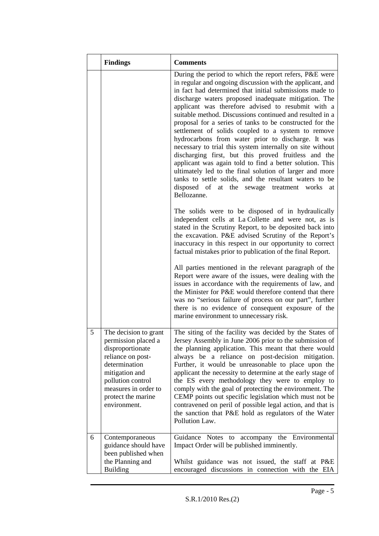|   | <b>Findings</b>                                                                                                                                                                                             | <b>Comments</b>                                                                                                                                                                                                                                                                                                                                                                                                                                                                                                                                                                                                                                                                                                                                                                                                                                                                                          |
|---|-------------------------------------------------------------------------------------------------------------------------------------------------------------------------------------------------------------|----------------------------------------------------------------------------------------------------------------------------------------------------------------------------------------------------------------------------------------------------------------------------------------------------------------------------------------------------------------------------------------------------------------------------------------------------------------------------------------------------------------------------------------------------------------------------------------------------------------------------------------------------------------------------------------------------------------------------------------------------------------------------------------------------------------------------------------------------------------------------------------------------------|
|   |                                                                                                                                                                                                             | During the period to which the report refers, P&E were<br>in regular and ongoing discussion with the applicant, and<br>in fact had determined that initial submissions made to<br>discharge waters proposed inadequate mitigation. The<br>applicant was therefore advised to resubmit with a<br>suitable method. Discussions continued and resulted in a<br>proposal for a series of tanks to be constructed for the<br>settlement of solids coupled to a system to remove<br>hydrocarbons from water prior to discharge. It was<br>necessary to trial this system internally on site without<br>discharging first, but this proved fruitless and the<br>applicant was again told to find a better solution. This<br>ultimately led to the final solution of larger and more<br>tanks to settle solids, and the resultant waters to be<br>disposed of at the sewage treatment works<br>at<br>Bellozanne. |
|   |                                                                                                                                                                                                             | The solids were to be disposed of in hydraulically<br>independent cells at La Collette and were not, as is<br>stated in the Scrutiny Report, to be deposited back into<br>the excavation. P&E advised Scrutiny of the Report's<br>inaccuracy in this respect in our opportunity to correct<br>factual mistakes prior to publication of the final Report.                                                                                                                                                                                                                                                                                                                                                                                                                                                                                                                                                 |
|   |                                                                                                                                                                                                             | All parties mentioned in the relevant paragraph of the<br>Report were aware of the issues, were dealing with the<br>issues in accordance with the requirements of law, and<br>the Minister for P&E would therefore contend that there<br>was no "serious failure of process on our part", further<br>there is no evidence of consequent exposure of the<br>marine environment to unnecessary risk.                                                                                                                                                                                                                                                                                                                                                                                                                                                                                                       |
| 5 | The decision to grant<br>permission placed a<br>disproportionate<br>reliance on post-<br>determination<br>mitigation and<br>pollution control<br>measures in order to<br>protect the marine<br>environment. | The siting of the facility was decided by the States of<br>Jersey Assembly in June 2006 prior to the submission of<br>the planning application. This meant that there would<br>always be a reliance on post-decision mitigation.<br>Further, it would be unreasonable to place upon the<br>applicant the necessity to determine at the early stage of<br>the ES every methodology they were to employ to<br>comply with the goal of protecting the environment. The<br>CEMP points out specific legislation which must not be<br>contravened on peril of possible legal action, and that is<br>the sanction that P&E hold as regulators of the Water<br>Pollution Law.                                                                                                                                                                                                                                   |
| 6 | Contemporaneous<br>guidance should have<br>been published when<br>the Planning and<br><b>Building</b>                                                                                                       | accompany the Environmental<br>Guidance Notes to<br>Impact Order will be published imminently.<br>Whilst guidance was not issued, the staff at P&E<br>encouraged discussions in connection with the EIA                                                                                                                                                                                                                                                                                                                                                                                                                                                                                                                                                                                                                                                                                                  |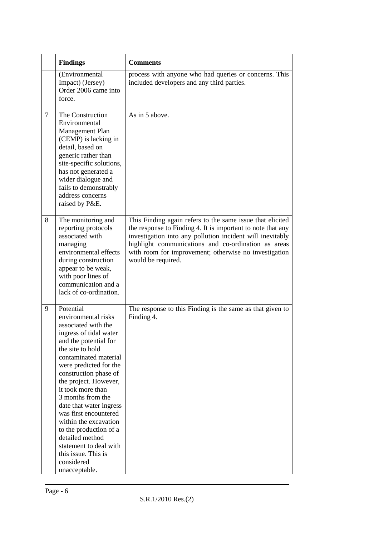|                | <b>Findings</b>                                                                                                                                                                                                                                                                                                                                                                                                                                                                         | <b>Comments</b>                                                                                                                                                                                                                                                                                                             |
|----------------|-----------------------------------------------------------------------------------------------------------------------------------------------------------------------------------------------------------------------------------------------------------------------------------------------------------------------------------------------------------------------------------------------------------------------------------------------------------------------------------------|-----------------------------------------------------------------------------------------------------------------------------------------------------------------------------------------------------------------------------------------------------------------------------------------------------------------------------|
|                | (Environmental<br>Impact) (Jersey)<br>Order 2006 came into<br>force.                                                                                                                                                                                                                                                                                                                                                                                                                    | process with anyone who had queries or concerns. This<br>included developers and any third parties.                                                                                                                                                                                                                         |
| $\overline{7}$ | The Construction<br>Environmental<br>Management Plan<br>(CEMP) is lacking in<br>detail, based on<br>generic rather than<br>site-specific solutions,<br>has not generated a<br>wider dialogue and<br>fails to demonstrably<br>address concerns<br>raised by P&E.                                                                                                                                                                                                                         | As in 5 above.                                                                                                                                                                                                                                                                                                              |
| 8              | The monitoring and<br>reporting protocols<br>associated with<br>managing<br>environmental effects<br>during construction<br>appear to be weak,<br>with poor lines of<br>communication and a<br>lack of co-ordination.                                                                                                                                                                                                                                                                   | This Finding again refers to the same issue that elicited<br>the response to Finding 4. It is important to note that any<br>investigation into any pollution incident will inevitably<br>highlight communications and co-ordination as areas<br>with room for improvement; otherwise no investigation<br>would be required. |
| 9              | Potential<br>environmental risks<br>associated with the<br>ingress of tidal water<br>and the potential for<br>the site to hold<br>contaminated material<br>were predicted for the<br>construction phase of<br>the project. However,<br>it took more than<br>3 months from the<br>date that water ingress<br>was first encountered<br>within the excavation<br>to the production of a<br>detailed method<br>statement to deal with<br>this issue. This is<br>considered<br>unacceptable. | The response to this Finding is the same as that given to<br>Finding 4.                                                                                                                                                                                                                                                     |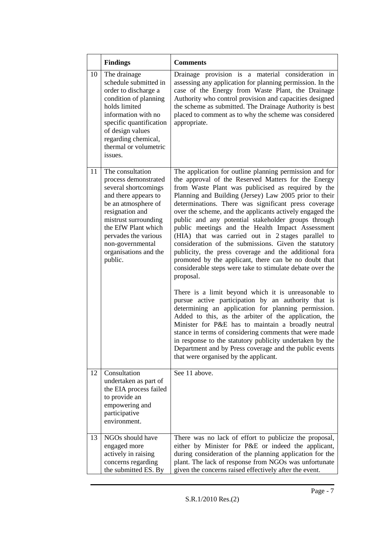|    | <b>Findings</b>                                                                                                                                                                                                                                                   | <b>Comments</b>                                                                                                                                                                                                                                                                                                                                                                                                                                                                                                                                                                                                                                                                                                                                                                                                                                                                                                                                                                                                                                                                                                                                                                                                                                                                       |
|----|-------------------------------------------------------------------------------------------------------------------------------------------------------------------------------------------------------------------------------------------------------------------|---------------------------------------------------------------------------------------------------------------------------------------------------------------------------------------------------------------------------------------------------------------------------------------------------------------------------------------------------------------------------------------------------------------------------------------------------------------------------------------------------------------------------------------------------------------------------------------------------------------------------------------------------------------------------------------------------------------------------------------------------------------------------------------------------------------------------------------------------------------------------------------------------------------------------------------------------------------------------------------------------------------------------------------------------------------------------------------------------------------------------------------------------------------------------------------------------------------------------------------------------------------------------------------|
| 10 | The drainage<br>schedule submitted in<br>order to discharge a<br>condition of planning<br>holds limited<br>information with no<br>specific quantification<br>of design values<br>regarding chemical,<br>thermal or volumetric<br>issues.                          | Drainage provision is a material consideration in<br>assessing any application for planning permission. In the<br>case of the Energy from Waste Plant, the Drainage<br>Authority who control provision and capacities designed<br>the scheme as submitted. The Drainage Authority is best<br>placed to comment as to why the scheme was considered<br>appropriate.                                                                                                                                                                                                                                                                                                                                                                                                                                                                                                                                                                                                                                                                                                                                                                                                                                                                                                                    |
| 11 | The consultation<br>process demonstrated<br>several shortcomings<br>and there appears to<br>be an atmosphere of<br>resignation and<br>mistrust surrounding<br>the EfW Plant which<br>pervades the various<br>non-governmental<br>organisations and the<br>public. | The application for outline planning permission and for<br>the approval of the Reserved Matters for the Energy<br>from Waste Plant was publicised as required by the<br>Planning and Building (Jersey) Law 2005 prior to their<br>determinations. There was significant press coverage<br>over the scheme, and the applicants actively engaged the<br>public and any potential stakeholder groups through<br>public meetings and the Health Impact Assessment<br>(HIA) that was carried out in 2 stages parallel to<br>consideration of the submissions. Given the statutory<br>publicity, the press coverage and the additional fora<br>promoted by the applicant, there can be no doubt that<br>considerable steps were take to stimulate debate over the<br>proposal.<br>There is a limit beyond which it is unreasonable to<br>pursue active participation by an authority that is<br>determining an application for planning permission.<br>Added to this, as the arbiter of the application, the<br>Minister for P&E has to maintain a broadly neutral<br>stance in terms of considering comments that were made<br>in response to the statutory publicity undertaken by the<br>Department and by Press coverage and the public events<br>that were organised by the applicant. |
| 12 | Consultation<br>undertaken as part of<br>the EIA process failed<br>to provide an<br>empowering and                                                                                                                                                                | See 11 above.                                                                                                                                                                                                                                                                                                                                                                                                                                                                                                                                                                                                                                                                                                                                                                                                                                                                                                                                                                                                                                                                                                                                                                                                                                                                         |
|    | participative<br>environment.                                                                                                                                                                                                                                     |                                                                                                                                                                                                                                                                                                                                                                                                                                                                                                                                                                                                                                                                                                                                                                                                                                                                                                                                                                                                                                                                                                                                                                                                                                                                                       |
| 13 | NGOs should have<br>engaged more<br>actively in raising<br>concerns regarding<br>the submitted ES. By                                                                                                                                                             | There was no lack of effort to publicize the proposal,<br>either by Minister for P&E or indeed the applicant,<br>during consideration of the planning application for the<br>plant. The lack of response from NGOs was unfortunate<br>given the concerns raised effectively after the event.                                                                                                                                                                                                                                                                                                                                                                                                                                                                                                                                                                                                                                                                                                                                                                                                                                                                                                                                                                                          |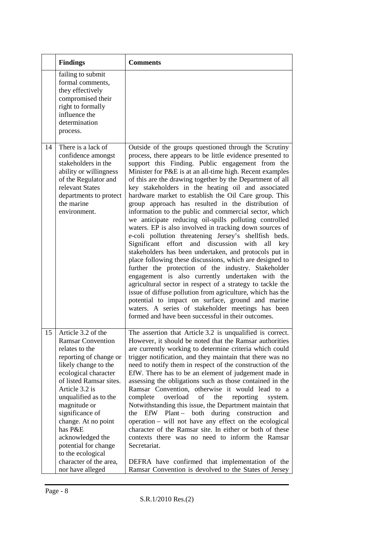|    | <b>Findings</b>                                                                                                                                                                                                                                                                                                                                                                                      | <b>Comments</b>                                                                                                                                                                                                                                                                                                                                                                                                                                                                                                                                                                                                                                                                                                                                                                                                                                                                                                                                                                                                                                                                                                                                                                                                                                                                                               |
|----|------------------------------------------------------------------------------------------------------------------------------------------------------------------------------------------------------------------------------------------------------------------------------------------------------------------------------------------------------------------------------------------------------|---------------------------------------------------------------------------------------------------------------------------------------------------------------------------------------------------------------------------------------------------------------------------------------------------------------------------------------------------------------------------------------------------------------------------------------------------------------------------------------------------------------------------------------------------------------------------------------------------------------------------------------------------------------------------------------------------------------------------------------------------------------------------------------------------------------------------------------------------------------------------------------------------------------------------------------------------------------------------------------------------------------------------------------------------------------------------------------------------------------------------------------------------------------------------------------------------------------------------------------------------------------------------------------------------------------|
|    | failing to submit<br>formal comments,<br>they effectively<br>compromised their<br>right to formally<br>influence the<br>determination<br>process.                                                                                                                                                                                                                                                    |                                                                                                                                                                                                                                                                                                                                                                                                                                                                                                                                                                                                                                                                                                                                                                                                                                                                                                                                                                                                                                                                                                                                                                                                                                                                                                               |
| 14 | There is a lack of<br>confidence amongst<br>stakeholders in the<br>ability or willingness<br>of the Regulator and<br>relevant States<br>departments to protect<br>the marine<br>environment.                                                                                                                                                                                                         | Outside of the groups questioned through the Scrutiny<br>process, there appears to be little evidence presented to<br>support this Finding. Public engagement from the<br>Minister for P&E is at an all-time high. Recent examples<br>of this are the drawing together by the Department of all<br>key stakeholders in the heating oil and associated<br>hardware market to establish the Oil Care group. This<br>group approach has resulted in the distribution of<br>information to the public and commercial sector, which<br>we anticipate reducing oil-spills polluting controlled<br>waters. EP is also involved in tracking down sources of<br>e-coli pollution threatening Jersey's shellfish beds.<br>Significant<br>effort<br>and<br>discussion<br>with<br>all<br>key<br>stakeholders has been undertaken, and protocols put in<br>place following these discussions, which are designed to<br>further the protection of the industry. Stakeholder<br>engagement is also currently undertaken with the<br>agricultural sector in respect of a strategy to tackle the<br>issue of diffuse pollution from agriculture, which has the<br>potential to impact on surface, ground and marine<br>waters. A series of stakeholder meetings has been<br>formed and have been successful in their outcomes. |
| 15 | Article 3.2 of the<br><b>Ramsar Convention</b><br>relates to the<br>reporting of change or<br>likely change to the<br>ecological character<br>of listed Ramsar sites.<br>Article 3.2 is<br>unqualified as to the<br>magnitude or<br>significance of<br>change. At no point<br>has P&E<br>acknowledged the<br>potential for change<br>to the ecological<br>character of the area,<br>nor have alleged | The assertion that Article 3.2 is unqualified is correct.<br>However, it should be noted that the Ramsar authorities<br>are currently working to determine criteria which could<br>trigger notification, and they maintain that there was no<br>need to notify them in respect of the construction of the<br>EfW. There has to be an element of judgement made in<br>assessing the obligations such as those contained in the<br>Ramsar Convention, otherwise it would lead to a<br>overload<br>of<br>complete<br>the<br>reporting<br>system.<br>Notwithstanding this issue, the Department maintain that<br>EfW Plant – both during construction<br>the<br>and<br>operation - will not have any effect on the ecological<br>character of the Ramsar site. In either or both of these<br>contexts there was no need to inform the Ramsar<br>Secretariat.<br>DEFRA have confirmed that implementation of the<br>Ramsar Convention is devolved to the States of Jersey                                                                                                                                                                                                                                                                                                                                          |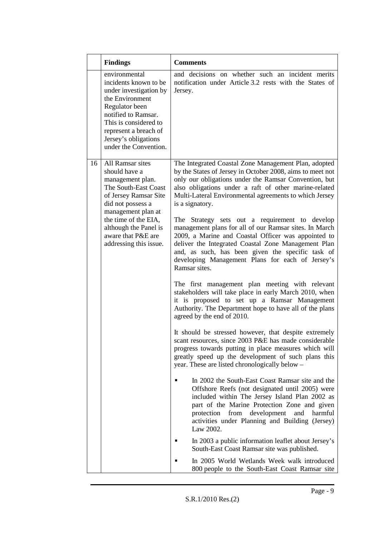|    | <b>Findings</b>                                                                                                                                                                                                                 | <b>Comments</b>                                                                                                                                                                                                                                                                                                                                                                                                              |
|----|---------------------------------------------------------------------------------------------------------------------------------------------------------------------------------------------------------------------------------|------------------------------------------------------------------------------------------------------------------------------------------------------------------------------------------------------------------------------------------------------------------------------------------------------------------------------------------------------------------------------------------------------------------------------|
|    | environmental<br>incidents known to be<br>under investigation by<br>the Environment<br>Regulator been<br>notified to Ramsar.<br>This is considered to<br>represent a breach of<br>Jersey's obligations<br>under the Convention. | and decisions on whether such an incident merits<br>notification under Article 3.2 rests with the States of<br>Jersey.                                                                                                                                                                                                                                                                                                       |
| 16 | All Ramsar sites<br>should have a<br>management plan.<br>The South-East Coast<br>of Jersey Ramsar Site<br>did not possess a<br>management plan at<br>the time of the EIA,<br>although the Panel is                              | The Integrated Coastal Zone Management Plan, adopted<br>by the States of Jersey in October 2008, aims to meet not<br>only our obligations under the Ramsar Convention, but<br>also obligations under a raft of other marine-related<br>Multi-Lateral Environmental agreements to which Jersey<br>is a signatory.<br>The Strategy sets out a requirement to develop<br>management plans for all of our Ramsar sites. In March |
|    | aware that P&E are<br>addressing this issue.                                                                                                                                                                                    | 2009, a Marine and Coastal Officer was appointed to<br>deliver the Integrated Coastal Zone Management Plan<br>and, as such, has been given the specific task of<br>developing Management Plans for each of Jersey's<br>Ramsar sites.                                                                                                                                                                                         |
|    |                                                                                                                                                                                                                                 | The first management plan meeting with relevant<br>stakeholders will take place in early March 2010, when<br>it is proposed to set up a Ramsar Management<br>Authority. The Department hope to have all of the plans<br>agreed by the end of 2010.                                                                                                                                                                           |
|    |                                                                                                                                                                                                                                 | It should be stressed however, that despite extremely<br>scant resources, since 2003 P&E has made considerable<br>progress towards putting in place measures which will<br>greatly speed up the development of such plans this<br>year. These are listed chronologically below –                                                                                                                                             |
|    |                                                                                                                                                                                                                                 | In 2002 the South-East Coast Ramsar site and the<br>Offshore Reefs (not designated until 2005) were<br>included within The Jersey Island Plan 2002 as<br>part of the Marine Protection Zone and given<br>protection from development and<br>harmful<br>activities under Planning and Building (Jersey)<br>Law 2002.                                                                                                          |
|    |                                                                                                                                                                                                                                 | In 2003 a public information leaflet about Jersey's<br>South-East Coast Ramsar site was published.                                                                                                                                                                                                                                                                                                                           |
|    |                                                                                                                                                                                                                                 | In 2005 World Wetlands Week walk introduced<br>800 people to the South-East Coast Ramsar site                                                                                                                                                                                                                                                                                                                                |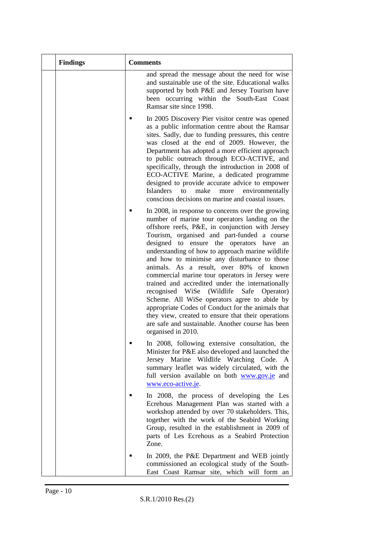| <b>Findings</b> | <b>Comments</b>                                                                                                                                                                                                                                                                                                                                                                                                                                                                                                                                                                                                                                                                                                                                                                                       |
|-----------------|-------------------------------------------------------------------------------------------------------------------------------------------------------------------------------------------------------------------------------------------------------------------------------------------------------------------------------------------------------------------------------------------------------------------------------------------------------------------------------------------------------------------------------------------------------------------------------------------------------------------------------------------------------------------------------------------------------------------------------------------------------------------------------------------------------|
|                 | and spread the message about the need for wise<br>and sustainable use of the site. Educational walks<br>supported by both P&E and Jersey Tourism have<br>been occurring within the South-East Coast<br>Ramsar site since 1998.                                                                                                                                                                                                                                                                                                                                                                                                                                                                                                                                                                        |
|                 | In 2005 Discovery Pier visitor centre was opened<br>as a public information centre about the Ramsar<br>sites. Sadly, due to funding pressures, this centre<br>was closed at the end of 2009. However, the<br>Department has adopted a more efficient approach<br>to public outreach through ECO-ACTIVE, and<br>specifically, through the introduction in 2008 of<br>ECO-ACTIVE Marine, a dedicated programme<br>designed to provide accurate advice to empower<br><b>Islanders</b><br>make<br>to<br>environmentally<br>more<br>conscious decisions on marine and coastal issues.                                                                                                                                                                                                                      |
|                 | In 2008, in response to concerns over the growing<br>number of marine tour operators landing on the<br>offshore reefs, P&E, in conjunction with Jersey<br>Tourism, organised and part-funded a course<br>designed to ensure the operators have<br>an<br>understanding of how to approach marine wildlife<br>and how to minimise any disturbance to those<br>animals. As a result, over 80% of known<br>commercial marine tour operators in Jersey were<br>trained and accredited under the internationally<br>WiSe (Wildlife<br>recognised<br>Safe<br>Operator)<br>Scheme. All WiSe operators agree to abide by<br>appropriate Codes of Conduct for the animals that<br>they view, created to ensure that their operations<br>are safe and sustainable. Another course has been<br>organised in 2010. |
|                 | In 2008, following extensive consultation, the<br>Minister for P&E also developed and launched the<br>Jersey Marine Wildlife Watching Code. A<br>summary leaflet was widely circulated, with the<br>full version available on both www.gov.je and<br>www.eco-active.je.                                                                                                                                                                                                                                                                                                                                                                                                                                                                                                                               |
|                 | In 2008, the process of developing the Les<br>Ecrehous Management Plan was started with a<br>workshop attended by over 70 stakeholders. This,<br>together with the work of the Seabird Working<br>Group, resulted in the establishment in 2009 of<br>parts of Les Ecrehous as a Seabird Protection<br>Zone.                                                                                                                                                                                                                                                                                                                                                                                                                                                                                           |
|                 | In 2009, the P&E Department and WEB jointly<br>commissioned an ecological study of the South-<br>East Coast Ramsar site, which will form an                                                                                                                                                                                                                                                                                                                                                                                                                                                                                                                                                                                                                                                           |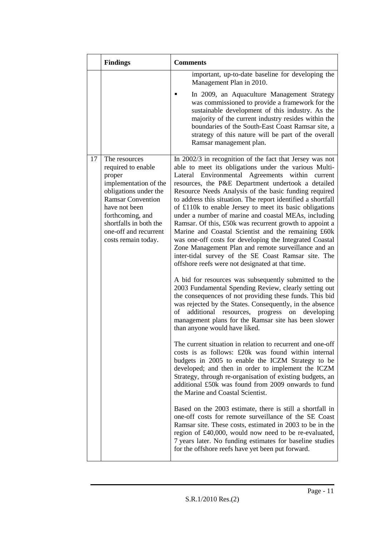|    | <b>Findings</b>                                                                                                                                                                                                                            | <b>Comments</b>                                                                                                                                                                                                                                                                                                                                                                                                                                                                                                                                                                                                                                                                                                                                                                                                             |
|----|--------------------------------------------------------------------------------------------------------------------------------------------------------------------------------------------------------------------------------------------|-----------------------------------------------------------------------------------------------------------------------------------------------------------------------------------------------------------------------------------------------------------------------------------------------------------------------------------------------------------------------------------------------------------------------------------------------------------------------------------------------------------------------------------------------------------------------------------------------------------------------------------------------------------------------------------------------------------------------------------------------------------------------------------------------------------------------------|
|    |                                                                                                                                                                                                                                            | important, up-to-date baseline for developing the<br>Management Plan in 2010.                                                                                                                                                                                                                                                                                                                                                                                                                                                                                                                                                                                                                                                                                                                                               |
|    |                                                                                                                                                                                                                                            | In 2009, an Aquaculture Management Strategy<br>was commissioned to provide a framework for the<br>sustainable development of this industry. As the<br>majority of the current industry resides within the<br>boundaries of the South-East Coast Ramsar site, a<br>strategy of this nature will be part of the overall<br>Ramsar management plan.                                                                                                                                                                                                                                                                                                                                                                                                                                                                            |
| 17 | The resources<br>required to enable<br>proper<br>implementation of the<br>obligations under the<br><b>Ramsar Convention</b><br>have not been<br>forthcoming, and<br>shortfalls in both the<br>one-off and recurrent<br>costs remain today. | In 2002/3 in recognition of the fact that Jersey was not<br>able to meet its obligations under the various Multi-<br>Lateral Environmental Agreements<br>within<br>current<br>resources, the P&E Department undertook a detailed<br>Resource Needs Analysis of the basic funding required<br>to address this situation. The report identified a shortfall<br>of £110k to enable Jersey to meet its basic obligations<br>under a number of marine and coastal MEAs, including<br>Ramsar. Of this, £50k was recurrent growth to appoint a<br>Marine and Coastal Scientist and the remaining £60k<br>was one-off costs for developing the Integrated Coastal<br>Zone Management Plan and remote surveillance and an<br>inter-tidal survey of the SE Coast Ramsar site. The<br>offshore reefs were not designated at that time. |
|    |                                                                                                                                                                                                                                            | A bid for resources was subsequently submitted to the<br>2003 Fundamental Spending Review, clearly setting out<br>the consequences of not providing these funds. This bid<br>was rejected by the States. Consequently, in the absence<br>resources, progress<br>of<br>additional<br>on<br>developing<br>management plans for the Ramsar site has been slower<br>than anyone would have liked.                                                                                                                                                                                                                                                                                                                                                                                                                               |
|    |                                                                                                                                                                                                                                            | The current situation in relation to recurrent and one-off<br>costs is as follows: £20k was found within internal<br>budgets in 2005 to enable the ICZM Strategy to be<br>developed; and then in order to implement the ICZM<br>Strategy, through re-organisation of existing budgets, an<br>additional £50k was found from 2009 onwards to fund<br>the Marine and Coastal Scientist.                                                                                                                                                                                                                                                                                                                                                                                                                                       |
|    |                                                                                                                                                                                                                                            | Based on the 2003 estimate, there is still a shortfall in<br>one-off costs for remote surveillance of the SE Coast<br>Ramsar site. These costs, estimated in 2003 to be in the<br>region of £40,000, would now need to be re-evaluated,<br>7 years later. No funding estimates for baseline studies<br>for the offshore reefs have yet been put forward.                                                                                                                                                                                                                                                                                                                                                                                                                                                                    |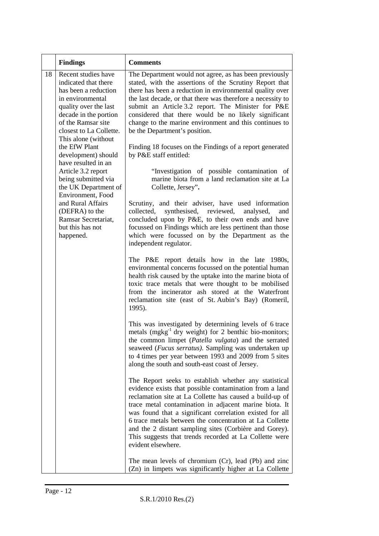|    | <b>Findings</b>                                                                                                                                                                                                   | <b>Comments</b>                                                                                                                                                                                                                                                                                                                                                                                                                                                                                         |
|----|-------------------------------------------------------------------------------------------------------------------------------------------------------------------------------------------------------------------|---------------------------------------------------------------------------------------------------------------------------------------------------------------------------------------------------------------------------------------------------------------------------------------------------------------------------------------------------------------------------------------------------------------------------------------------------------------------------------------------------------|
| 18 | Recent studies have<br>indicated that there<br>has been a reduction<br>in environmental<br>quality over the last<br>decade in the portion<br>of the Ramsar site<br>closest to La Collette.<br>This alone (without | The Department would not agree, as has been previously<br>stated, with the assertions of the Scrutiny Report that<br>there has been a reduction in environmental quality over<br>the last decade, or that there was therefore a necessity to<br>submit an Article 3.2 report. The Minister for P&E<br>considered that there would be no likely significant<br>change to the marine environment and this continues to<br>be the Department's position.                                                   |
|    | the EfW Plant<br>development) should<br>have resulted in an                                                                                                                                                       | Finding 18 focuses on the Findings of a report generated<br>by P&E staff entitled:                                                                                                                                                                                                                                                                                                                                                                                                                      |
|    | Article 3.2 report<br>being submitted via<br>the UK Department of<br>Environment, Food                                                                                                                            | "Investigation of possible contamination of<br>marine biota from a land reclamation site at La<br>Collette, Jersey".                                                                                                                                                                                                                                                                                                                                                                                    |
|    | and Rural Affairs<br>(DEFRA) to the<br>Ramsar Secretariat,<br>but this has not<br>happened.                                                                                                                       | Scrutiny, and their adviser, have used information<br>collected,<br>synthesised, reviewed,<br>analysed,<br>and<br>concluded upon by P&E, to their own ends and have<br>focussed on Findings which are less pertinent than those<br>which were focussed on by the Department as the<br>independent regulator.                                                                                                                                                                                            |
|    |                                                                                                                                                                                                                   | The P&E report details how in the late 1980s,<br>environmental concerns focussed on the potential human<br>health risk caused by the uptake into the marine biota of<br>toxic trace metals that were thought to be mobilised<br>from the incinerator ash stored at the Waterfront<br>reclamation site (east of St. Aubin's Bay) (Romeril,<br>1995).                                                                                                                                                     |
|    |                                                                                                                                                                                                                   | This was investigated by determining levels of 6 trace<br>metals $(mgkg-1$ dry weight) for 2 benthic bio-monitors;<br>the common limpet (Patella vulgata) and the serrated<br>seaweed ( <i>Fucus serratus</i> ). Sampling was undertaken up<br>to 4 times per year between 1993 and 2009 from 5 sites<br>along the south and south-east coast of Jersey.                                                                                                                                                |
|    |                                                                                                                                                                                                                   | The Report seeks to establish whether any statistical<br>evidence exists that possible contamination from a land<br>reclamation site at La Collette has caused a build-up of<br>trace metal contamination in adjacent marine biota. It<br>was found that a significant correlation existed for all<br>6 trace metals between the concentration at La Collette<br>and the 2 distant sampling sites (Corbière and Gorey).<br>This suggests that trends recorded at La Collette were<br>evident elsewhere. |
|    |                                                                                                                                                                                                                   | The mean levels of chromium (Cr), lead (Pb) and zinc<br>(Zn) in limpets was significantly higher at La Collette                                                                                                                                                                                                                                                                                                                                                                                         |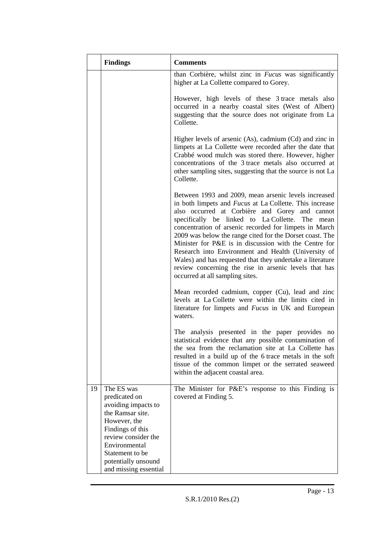|    | <b>Findings</b>                                                                                                                                    | <b>Comments</b>                                                                                                                                                                                                                                                                                                                                                                                                                                                                                                                                                                                                            |
|----|----------------------------------------------------------------------------------------------------------------------------------------------------|----------------------------------------------------------------------------------------------------------------------------------------------------------------------------------------------------------------------------------------------------------------------------------------------------------------------------------------------------------------------------------------------------------------------------------------------------------------------------------------------------------------------------------------------------------------------------------------------------------------------------|
|    |                                                                                                                                                    | than Corbière, whilst zinc in Fucus was significantly<br>higher at La Collette compared to Gorey.                                                                                                                                                                                                                                                                                                                                                                                                                                                                                                                          |
|    |                                                                                                                                                    | However, high levels of these 3 trace metals also<br>occurred in a nearby coastal sites (West of Albert)<br>suggesting that the source does not originate from La<br>Collette.                                                                                                                                                                                                                                                                                                                                                                                                                                             |
|    |                                                                                                                                                    | Higher levels of arsenic (As), cadmium (Cd) and zinc in<br>limpets at La Collette were recorded after the date that<br>Crabbé wood mulch was stored there. However, higher<br>concentrations of the 3 trace metals also occurred at<br>other sampling sites, suggesting that the source is not La<br>Collette.                                                                                                                                                                                                                                                                                                             |
|    |                                                                                                                                                    | Between 1993 and 2009, mean arsenic levels increased<br>in both limpets and <i>Fucus</i> at La Collette. This increase<br>also occurred at Corbière and Gorey and cannot<br>specifically be linked to La Collette. The mean<br>concentration of arsenic recorded for limpets in March<br>2009 was below the range cited for the Dorset coast. The<br>Minister for P&E is in discussion with the Centre for<br>Research into Environment and Health (University of<br>Wales) and has requested that they undertake a literature<br>review concerning the rise in arsenic levels that has<br>occurred at all sampling sites. |
|    |                                                                                                                                                    | Mean recorded cadmium, copper (Cu), lead and zinc<br>levels at La Collette were within the limits cited in<br>literature for limpets and <i>Fucus</i> in UK and European<br>waters.                                                                                                                                                                                                                                                                                                                                                                                                                                        |
|    |                                                                                                                                                    | The analysis presented in the paper provides no<br>statistical evidence that any possible contamination of<br>the sea from the reclamation site at La Collette has<br>resulted in a build up of the 6 trace metals in the soft<br>tissue of the common limpet or the serrated seaweed<br>within the adjacent coastal area.                                                                                                                                                                                                                                                                                                 |
| 19 | The ES was<br>predicated on<br>avoiding impacts to<br>the Ramsar site.<br>However, the<br>Findings of this<br>review consider the<br>Environmental | The Minister for P&E's response to this Finding is<br>covered at Finding 5.                                                                                                                                                                                                                                                                                                                                                                                                                                                                                                                                                |
|    | Statement to be<br>potentially unsound<br>and missing essential                                                                                    |                                                                                                                                                                                                                                                                                                                                                                                                                                                                                                                                                                                                                            |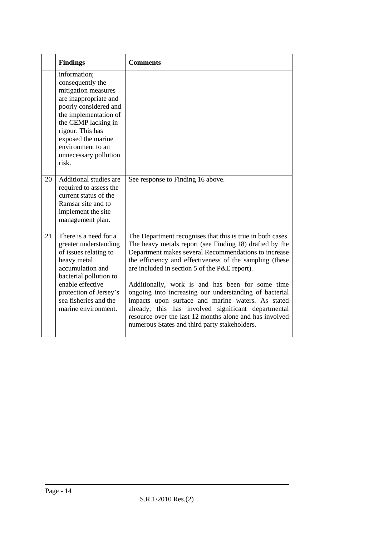| <b>Findings</b>                                                                                                                                                                                                                                            | <b>Comments</b>                                                                                                                                                                                                                                                                                                                                                                                                                                                                                                                                                                                                                 |
|------------------------------------------------------------------------------------------------------------------------------------------------------------------------------------------------------------------------------------------------------------|---------------------------------------------------------------------------------------------------------------------------------------------------------------------------------------------------------------------------------------------------------------------------------------------------------------------------------------------------------------------------------------------------------------------------------------------------------------------------------------------------------------------------------------------------------------------------------------------------------------------------------|
| information;<br>consequently the<br>mitigation measures<br>are inappropriate and<br>poorly considered and<br>the implementation of<br>the CEMP lacking in<br>rigour. This has<br>exposed the marine<br>environment to an<br>unnecessary pollution<br>risk. |                                                                                                                                                                                                                                                                                                                                                                                                                                                                                                                                                                                                                                 |
| Additional studies are<br>20<br>required to assess the<br>current status of the<br>Ramsar site and to<br>implement the site<br>management plan.                                                                                                            | See response to Finding 16 above.                                                                                                                                                                                                                                                                                                                                                                                                                                                                                                                                                                                               |
| There is a need for a<br>21<br>greater understanding<br>of issues relating to<br>heavy metal<br>accumulation and<br>bacterial pollution to<br>enable effective<br>protection of Jersey's<br>sea fisheries and the<br>marine environment.                   | The Department recognises that this is true in both cases.<br>The heavy metals report (see Finding 18) drafted by the<br>Department makes several Recommendations to increase<br>the efficiency and effectiveness of the sampling (these<br>are included in section 5 of the P&E report).<br>Additionally, work is and has been for some time<br>ongoing into increasing our understanding of bacterial<br>impacts upon surface and marine waters. As stated<br>already, this has involved significant departmental<br>resource over the last 12 months alone and has involved<br>numerous States and third party stakeholders. |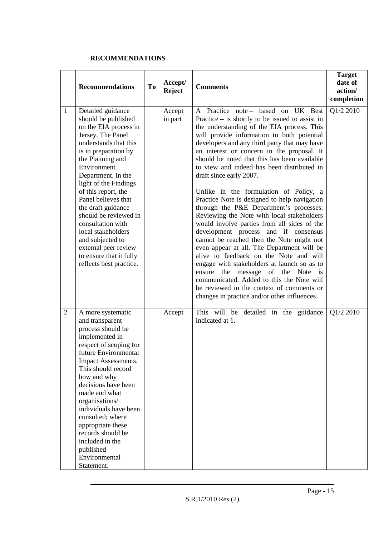#### **RECOMMENDATIONS**

|                | <b>Recommendations</b>                                                                                                                                                                                                                                                                                                                                                                                                                                              | <b>To</b> | Accept/<br><b>Reject</b> | <b>Comments</b>                                                                                                                                                                                                                                                                                                                                                                                                                                                                                                                                                                                                                                                                                                                                                                                                                                                                                                                                                                                                                                         | <b>Target</b><br>date of<br>action/<br>completion |
|----------------|---------------------------------------------------------------------------------------------------------------------------------------------------------------------------------------------------------------------------------------------------------------------------------------------------------------------------------------------------------------------------------------------------------------------------------------------------------------------|-----------|--------------------------|---------------------------------------------------------------------------------------------------------------------------------------------------------------------------------------------------------------------------------------------------------------------------------------------------------------------------------------------------------------------------------------------------------------------------------------------------------------------------------------------------------------------------------------------------------------------------------------------------------------------------------------------------------------------------------------------------------------------------------------------------------------------------------------------------------------------------------------------------------------------------------------------------------------------------------------------------------------------------------------------------------------------------------------------------------|---------------------------------------------------|
| $\mathbf{1}$   | Detailed guidance<br>should be published<br>on the EIA process in<br>Jersey. The Panel<br>understands that this<br>is in preparation by<br>the Planning and<br>Environment<br>Department. In the<br>light of the Findings<br>of this report, the<br>Panel believes that<br>the draft guidance<br>should be reviewed in<br>consultation with<br>local stakeholders<br>and subjected to<br>external peer review<br>to ensure that it fully<br>reflects best practice. |           | Accept<br>in part        | A Practice note – based on UK Best<br>Practice $-$ is shortly to be issued to assist in<br>the understanding of the EIA process. This<br>will provide information to both potential<br>developers and any third party that may have<br>an interest or concern in the proposal. It<br>should be noted that this has been available<br>to view and indeed has been distributed in<br>draft since early 2007.<br>Unlike in the formulation of Policy, a<br>Practice Note is designed to help navigation<br>through the P&E Department's processes.<br>Reviewing the Note with local stakeholders<br>would involve parties from all sides of the<br>development process and if consensus<br>cannot be reached then the Note might not<br>even appear at all. The Department will be<br>alive to feedback on the Note and will<br>engage with stakeholders at launch so as to<br>ensure the message of the Note is<br>communicated. Added to this the Note will<br>be reviewed in the context of comments or<br>changes in practice and/or other influences. | Q1/2 2010                                         |
| $\overline{2}$ | A more systematic<br>and transparent<br>process should be<br>implemented in<br>respect of scoping for<br>future Environmental<br><b>Impact Assessments.</b><br>This should record<br>how and why<br>decisions have been<br>made and what<br>organisations/<br>individuals have been<br>consulted; where<br>appropriate these<br>records should be<br>included in the<br>published<br>Environmental<br>Statement.                                                    |           | Accept                   | This will be detailed in the guidance<br>indicated at 1.                                                                                                                                                                                                                                                                                                                                                                                                                                                                                                                                                                                                                                                                                                                                                                                                                                                                                                                                                                                                | Q1/2 2010                                         |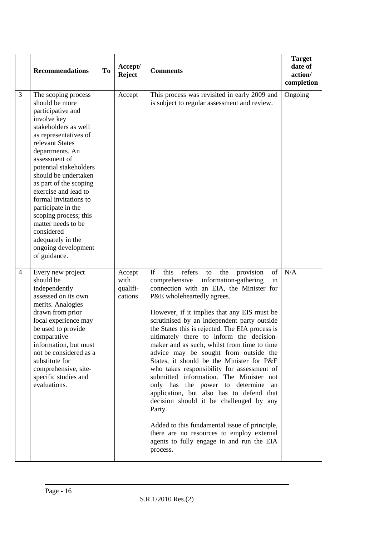|                | <b>Recommendations</b>                                                                                                                                                                                                                                                                                                                                                                                                                                        | To | Accept/<br><b>Reject</b>              | <b>Comments</b>                                                                                                                                                                                                                                                                                                                                                                                                                                                                                                                                                                                                                                                                                                                                                                                                                                                                                         | <b>Target</b><br>date of<br>action/<br>completion |
|----------------|---------------------------------------------------------------------------------------------------------------------------------------------------------------------------------------------------------------------------------------------------------------------------------------------------------------------------------------------------------------------------------------------------------------------------------------------------------------|----|---------------------------------------|---------------------------------------------------------------------------------------------------------------------------------------------------------------------------------------------------------------------------------------------------------------------------------------------------------------------------------------------------------------------------------------------------------------------------------------------------------------------------------------------------------------------------------------------------------------------------------------------------------------------------------------------------------------------------------------------------------------------------------------------------------------------------------------------------------------------------------------------------------------------------------------------------------|---------------------------------------------------|
| 3              | The scoping process<br>should be more<br>participative and<br>involve key<br>stakeholders as well<br>as representatives of<br>relevant States<br>departments. An<br>assessment of<br>potential stakeholders<br>should be undertaken<br>as part of the scoping<br>exercise and lead to<br>formal invitations to<br>participate in the<br>scoping process; this<br>matter needs to be<br>considered<br>adequately in the<br>ongoing development<br>of guidance. |    | Accept                                | This process was revisited in early 2009 and<br>is subject to regular assessment and review.                                                                                                                                                                                                                                                                                                                                                                                                                                                                                                                                                                                                                                                                                                                                                                                                            | Ongoing                                           |
| $\overline{4}$ | Every new project<br>should be<br>independently<br>assessed on its own<br>merits. Analogies<br>drawn from prior<br>local experience may<br>be used to provide<br>comparative<br>information, but must<br>not be considered as a<br>substitute for<br>comprehensive, site-<br>specific studies and<br>evaluations.                                                                                                                                             |    | Accept<br>with<br>qualifi-<br>cations | this<br>provision<br>If<br>refers<br>the<br>of<br>to<br>comprehensive<br>information-gathering<br>in<br>connection with an EIA, the Minister for<br>P&E wholeheartedly agrees.<br>However, if it implies that any EIS must be<br>scrutinised by an independent party outside<br>the States this is rejected. The EIA process is<br>ultimately there to inform the decision-<br>maker and as such, whilst from time to time<br>advice may be sought from outside the<br>States, it should be the Minister for P&E<br>who takes responsibility for assessment of<br>submitted information. The Minister not<br>only has the power to determine an<br>application, but also has to defend that<br>decision should it be challenged by any<br>Party.<br>Added to this fundamental issue of principle,<br>there are no resources to employ external<br>agents to fully engage in and run the EIA<br>process. | N/A                                               |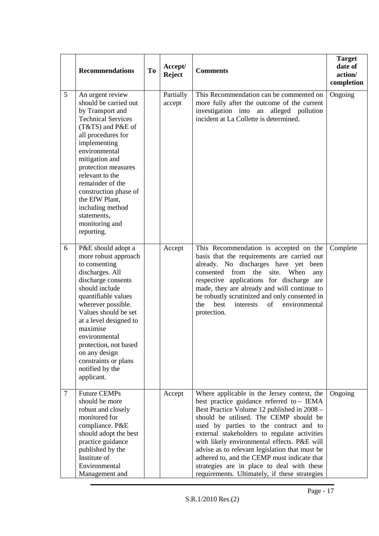|                 | <b>Recommendations</b>                                                                                                                                                                                                                                                                                                                                               | <b>To</b> | Accept/<br><b>Reject</b> | <b>Comments</b>                                                                                                                                                                                                                                                                                                                                                                                                                                                                                                            | <b>Target</b><br>date of<br>action/<br>completion |
|-----------------|----------------------------------------------------------------------------------------------------------------------------------------------------------------------------------------------------------------------------------------------------------------------------------------------------------------------------------------------------------------------|-----------|--------------------------|----------------------------------------------------------------------------------------------------------------------------------------------------------------------------------------------------------------------------------------------------------------------------------------------------------------------------------------------------------------------------------------------------------------------------------------------------------------------------------------------------------------------------|---------------------------------------------------|
| $5\overline{)}$ | An urgent review<br>should be carried out<br>by Transport and<br><b>Technical Services</b><br>(T&TS) and P&E of<br>all procedures for<br>implementing<br>environmental<br>mitigation and<br>protection measures<br>relevant to the<br>remainder of the<br>construction phase of<br>the EfW Plant,<br>including method<br>statements,<br>monitoring and<br>reporting. |           | Partially<br>accept      | This Recommendation can be commented on<br>more fully after the outcome of the current<br>investigation into an alleged pollution<br>incident at La Collette is determined.                                                                                                                                                                                                                                                                                                                                                | Ongoing                                           |
| 6               | P&E should adopt a<br>more robust approach<br>to consenting<br>discharges. All<br>discharge consents<br>should include<br>quantifiable values<br>wherever possible.<br>Values should be set<br>at a level designed to<br>maximise<br>environmental<br>protection, not based<br>on any design<br>constraints or plans<br>notified by the<br>applicant.                |           | Accept                   | This Recommendation is accepted on the<br>basis that the requirements are carried out<br>already. No discharges have yet been<br>consented from<br>the<br>When<br>site.<br>any<br>respective applications for discharge are<br>made, they are already and will continue to<br>be robustly scrutinized and only consented in<br>best<br>environmental<br>the<br>interests<br>of<br>protection.                                                                                                                              | Complete                                          |
| $\overline{7}$  | <b>Future CEMPs</b><br>should be more<br>robust and closely<br>monitored for<br>compliance. P&E<br>should adopt the best<br>practice guidance<br>published by the<br>Institute of<br>Environmental<br>Management and                                                                                                                                                 |           | Accept                   | Where applicable in the Jersey context, the<br>best practice guidance referred to - IEMA<br>Best Practice Volume 12 published in 2008 -<br>should be utilised. The CEMP should be<br>used by parties to the contract and to<br>external stakeholders to regulate activities<br>with likely environmental effects. P&E will<br>advise as to relevant legislation that must be<br>adhered to, and the CEMP must indicate that<br>strategies are in place to deal with these<br>requirements. Ultimately, if these strategies | Ongoing                                           |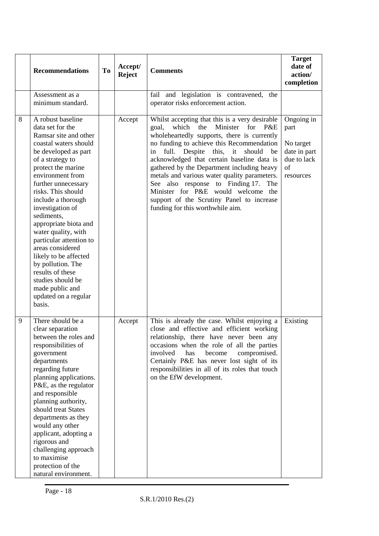|   | <b>Recommendations</b>                                                                                                                                                                                                                                                                                                                                                                                                                                                                                                        | To | Accept/<br><b>Reject</b> | <b>Comments</b>                                                                                                                                                                                                                                                                                                                                                                                                                                                                                                                                             | <b>Target</b><br>date of<br>action/<br>completion                                 |
|---|-------------------------------------------------------------------------------------------------------------------------------------------------------------------------------------------------------------------------------------------------------------------------------------------------------------------------------------------------------------------------------------------------------------------------------------------------------------------------------------------------------------------------------|----|--------------------------|-------------------------------------------------------------------------------------------------------------------------------------------------------------------------------------------------------------------------------------------------------------------------------------------------------------------------------------------------------------------------------------------------------------------------------------------------------------------------------------------------------------------------------------------------------------|-----------------------------------------------------------------------------------|
|   | Assessment as a<br>minimum standard.                                                                                                                                                                                                                                                                                                                                                                                                                                                                                          |    |                          | fail and legislation is contravened,<br>the<br>operator risks enforcement action.                                                                                                                                                                                                                                                                                                                                                                                                                                                                           |                                                                                   |
| 8 | A robust baseline<br>data set for the<br>Ramsar site and other<br>coastal waters should<br>be developed as part<br>of a strategy to<br>protect the marine<br>environment from<br>further unnecessary<br>risks. This should<br>include a thorough<br>investigation of<br>sediments,<br>appropriate biota and<br>water quality, with<br>particular attention to<br>areas considered<br>likely to be affected<br>by pollution. The<br>results of these<br>studies should be<br>made public and<br>updated on a regular<br>basis. |    | Accept                   | Whilst accepting that this is a very desirable<br>Minister<br>goal,<br>which<br>the<br>for<br>P&E<br>wholeheartedly supports, there is currently<br>no funding to achieve this Recommendation<br>full. Despite this, it<br>should<br>in<br>be<br>acknowledged that certain baseline data is<br>gathered by the Department including heavy<br>metals and various water quality parameters.<br>See also response to Finding 17.<br>The<br>Minister for P&E would welcome the<br>support of the Scrutiny Panel to increase<br>funding for this worthwhile aim. | Ongoing in<br>part<br>No target<br>date in part<br>due to lack<br>of<br>resources |
| 9 | There should be a<br>clear separation<br>between the roles and<br>responsibilities of<br>government<br>departments<br>regarding future<br>planning applications.<br>P&E, as the regulator<br>and responsible<br>planning authority,<br>should treat States<br>departments as they<br>would any other<br>applicant, adopting a<br>rigorous and<br>challenging approach<br>to maximise<br>protection of the<br>natural environment.                                                                                             |    | Accept                   | This is already the case. Whilst enjoying a<br>close and effective and efficient working<br>relationship, there have never been any<br>occasions when the role of all the parties<br>involved<br>has<br>compromised.<br>become<br>Certainly P&E has never lost sight of its<br>responsibilities in all of its roles that touch<br>on the EfW development.                                                                                                                                                                                                   | Existing                                                                          |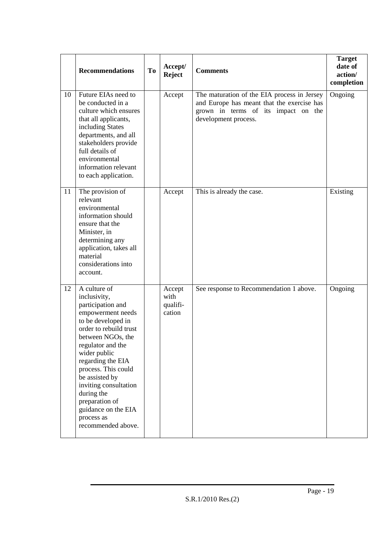|    | <b>Recommendations</b>                                                                                                                                                                                                                                                                                                                                             | <b>To</b> | Accept/<br><b>Reject</b>             | <b>Comments</b>                                                                                                                                          | <b>Target</b><br>date of<br>action/<br>completion |
|----|--------------------------------------------------------------------------------------------------------------------------------------------------------------------------------------------------------------------------------------------------------------------------------------------------------------------------------------------------------------------|-----------|--------------------------------------|----------------------------------------------------------------------------------------------------------------------------------------------------------|---------------------------------------------------|
| 10 | Future EIAs need to<br>be conducted in a<br>culture which ensures<br>that all applicants,<br>including States<br>departments, and all<br>stakeholders provide<br>full details of<br>environmental<br>information relevant<br>to each application.                                                                                                                  |           | Accept                               | The maturation of the EIA process in Jersey<br>and Europe has meant that the exercise has<br>grown in terms of its impact on the<br>development process. | Ongoing                                           |
| 11 | The provision of<br>relevant<br>environmental<br>information should<br>ensure that the<br>Minister, in<br>determining any<br>application, takes all<br>material<br>considerations into<br>account.                                                                                                                                                                 |           | Accept                               | This is already the case.                                                                                                                                | Existing                                          |
| 12 | A culture of<br>inclusivity,<br>participation and<br>empowerment needs<br>to be developed in<br>order to rebuild trust<br>between NGOs, the<br>regulator and the<br>wider public<br>regarding the EIA<br>process. This could<br>be assisted by<br>inviting consultation<br>during the<br>preparation of<br>guidance on the EIA<br>process as<br>recommended above. |           | Accept<br>with<br>qualifi-<br>cation | See response to Recommendation 1 above.                                                                                                                  | Ongoing                                           |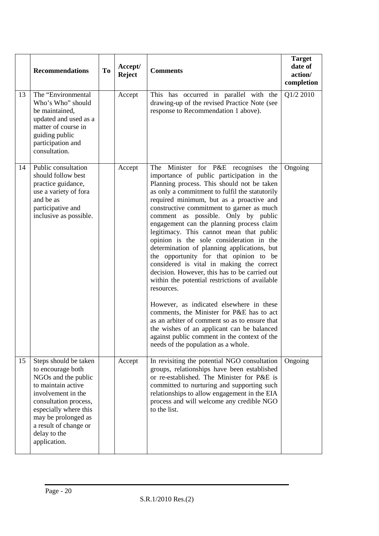|    | <b>Recommendations</b>                                                                                                                                                                                                                          | To | Accept/<br><b>Reject</b> | <b>Comments</b>                                                                                                                                                                                                                                                                                                                                                                                                                                                                                                                                                                                                                                                                                                                                                                                                                                                                                                                                                                                   | <b>Target</b><br>date of<br>action/<br>completion |
|----|-------------------------------------------------------------------------------------------------------------------------------------------------------------------------------------------------------------------------------------------------|----|--------------------------|---------------------------------------------------------------------------------------------------------------------------------------------------------------------------------------------------------------------------------------------------------------------------------------------------------------------------------------------------------------------------------------------------------------------------------------------------------------------------------------------------------------------------------------------------------------------------------------------------------------------------------------------------------------------------------------------------------------------------------------------------------------------------------------------------------------------------------------------------------------------------------------------------------------------------------------------------------------------------------------------------|---------------------------------------------------|
| 13 | The "Environmental<br>Who's Who" should<br>be maintained,<br>updated and used as a<br>matter of course in<br>guiding public<br>participation and<br>consultation.                                                                               |    | Accept                   | This has occurred in parallel with the<br>drawing-up of the revised Practice Note (see<br>response to Recommendation 1 above).                                                                                                                                                                                                                                                                                                                                                                                                                                                                                                                                                                                                                                                                                                                                                                                                                                                                    | Q1/2 2010                                         |
| 14 | Public consultation<br>should follow best<br>practice guidance,<br>use a variety of fora<br>and be as<br>participative and<br>inclusive as possible.                                                                                            |    | Accept                   | Minister for P&E recognises<br>The<br>the<br>importance of public participation in the<br>Planning process. This should not be taken<br>as only a commitment to fulfil the statutorily<br>required minimum, but as a proactive and<br>constructive commitment to garner as much<br>comment as possible. Only by public<br>engagement can the planning process claim<br>legitimacy. This cannot mean that public<br>opinion is the sole consideration in the<br>determination of planning applications, but<br>the opportunity for that opinion to be<br>considered is vital in making the correct<br>decision. However, this has to be carried out<br>within the potential restrictions of available<br>resources.<br>However, as indicated elsewhere in these<br>comments, the Minister for P&E has to act<br>as an arbiter of comment so as to ensure that<br>the wishes of an applicant can be balanced<br>against public comment in the context of the<br>needs of the population as a whole. | Ongoing                                           |
| 15 | Steps should be taken<br>to encourage both<br>NGOs and the public<br>to maintain active<br>involvement in the<br>consultation process,<br>especially where this<br>may be prolonged as<br>a result of change or<br>delay to the<br>application. |    | Accept                   | In revisiting the potential NGO consultation<br>groups, relationships have been established<br>or re-established. The Minister for P&E is<br>committed to nurturing and supporting such<br>relationships to allow engagement in the EIA<br>process and will welcome any credible NGO<br>to the list.                                                                                                                                                                                                                                                                                                                                                                                                                                                                                                                                                                                                                                                                                              | Ongoing                                           |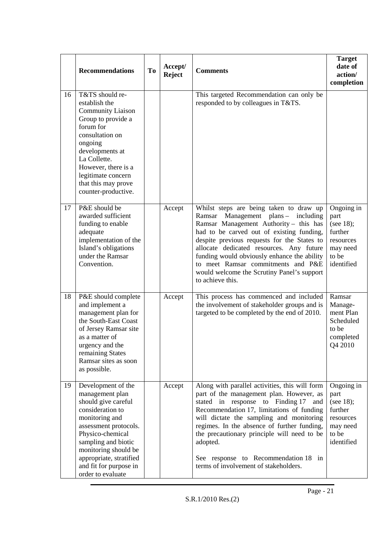|    | <b>Recommendations</b>                                                                                                                                                                                                                                                   | To | Accept/<br><b>Reject</b> | <b>Comments</b>                                                                                                                                                                                                                                                                                                                                                                                                           | <b>Target</b><br>date of<br>action/<br>completion                                          |
|----|--------------------------------------------------------------------------------------------------------------------------------------------------------------------------------------------------------------------------------------------------------------------------|----|--------------------------|---------------------------------------------------------------------------------------------------------------------------------------------------------------------------------------------------------------------------------------------------------------------------------------------------------------------------------------------------------------------------------------------------------------------------|--------------------------------------------------------------------------------------------|
| 16 | T&TS should re-<br>establish the<br><b>Community Liaison</b><br>Group to provide a<br>forum for<br>consultation on<br>ongoing<br>developments at<br>La Collette.<br>However, there is a<br>legitimate concern<br>that this may prove<br>counter-productive.              |    |                          | This targeted Recommendation can only be<br>responded to by colleagues in T&TS.                                                                                                                                                                                                                                                                                                                                           |                                                                                            |
| 17 | P&E should be<br>awarded sufficient<br>funding to enable<br>adequate<br>implementation of the<br>Island's obligations<br>under the Ramsar<br>Convention.                                                                                                                 |    | Accept                   | Whilst steps are being taken to draw up<br>Ramsar Management plans - including<br>Ramsar Management Authority - this has<br>had to be carved out of existing funding,<br>despite previous requests for the States to<br>allocate dedicated resources. Any future<br>funding would obviously enhance the ability<br>to meet Ramsar commitments and P&E<br>would welcome the Scrutiny Panel's support<br>to achieve this.   | Ongoing in<br>part<br>(see 18);<br>further<br>resources<br>may need<br>to be<br>identified |
| 18 | P&E should complete<br>and implement a<br>management plan for<br>the South-East Coast<br>of Jersey Ramsar site<br>as a matter of<br>urgency and the<br>remaining States<br>Ramsar sites as soon<br>as possible.                                                          |    | Accept                   | This process has commenced and included<br>the involvement of stakeholder groups and is<br>targeted to be completed by the end of 2010.                                                                                                                                                                                                                                                                                   | Ramsar<br>Manage-<br>ment Plan<br>Scheduled<br>to be<br>completed<br>Q4 2010               |
| 19 | Development of the<br>management plan<br>should give careful<br>consideration to<br>monitoring and<br>assessment protocols.<br>Physico-chemical<br>sampling and biotic<br>monitoring should be<br>appropriate, stratified<br>and fit for purpose in<br>order to evaluate |    | Accept                   | Along with parallel activities, this will form<br>part of the management plan. However, as<br>stated in response to Finding 17<br>and<br>Recommendation 17, limitations of funding<br>will dictate the sampling and monitoring<br>regimes. In the absence of further funding,<br>the precautionary principle will need to be<br>adopted.<br>See response to Recommendation 18 in<br>terms of involvement of stakeholders. | Ongoing in<br>part<br>(see 18);<br>further<br>resources<br>may need<br>to be<br>identified |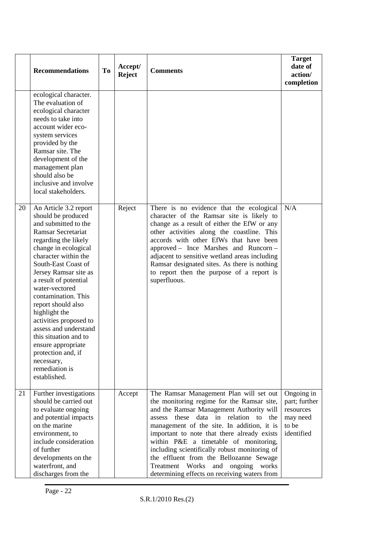|    | <b>Recommendations</b>                                                                                                                                                                                                                                                                                                                                                                                                                                                                             | <b>To</b> | Accept/<br><b>Reject</b> | <b>Comments</b>                                                                                                                                                                                                                                                                                                                                                                                                                                                                                                 | <b>Target</b><br>date of<br>action/<br>completion                           |
|----|----------------------------------------------------------------------------------------------------------------------------------------------------------------------------------------------------------------------------------------------------------------------------------------------------------------------------------------------------------------------------------------------------------------------------------------------------------------------------------------------------|-----------|--------------------------|-----------------------------------------------------------------------------------------------------------------------------------------------------------------------------------------------------------------------------------------------------------------------------------------------------------------------------------------------------------------------------------------------------------------------------------------------------------------------------------------------------------------|-----------------------------------------------------------------------------|
|    | ecological character.<br>The evaluation of<br>ecological character<br>needs to take into<br>account wider eco-<br>system services<br>provided by the<br>Ramsar site. The<br>development of the<br>management plan<br>should also be<br>inclusive and involve<br>local stakeholders.                                                                                                                                                                                                                |           |                          |                                                                                                                                                                                                                                                                                                                                                                                                                                                                                                                 |                                                                             |
| 20 | An Article 3.2 report<br>should be produced<br>and submitted to the<br>Ramsar Secretariat<br>regarding the likely<br>change in ecological<br>character within the<br>South-East Coast of<br>Jersey Ramsar site as<br>a result of potential<br>water-vectored<br>contamination. This<br>report should also<br>highlight the<br>activities proposed to<br>assess and understand<br>this situation and to<br>ensure appropriate<br>protection and, if<br>necessary,<br>remediation is<br>established. |           | Reject                   | There is no evidence that the ecological<br>character of the Ramsar site is likely to<br>change as a result of either the EfW or any<br>other activities along the coastline. This<br>accords with other EfWs that have been<br>approved - Ince Marshes and Runcorn -<br>adjacent to sensitive wetland areas including<br>Ramsar designated sites. As there is nothing<br>to report then the purpose of a report is<br>superfluous.                                                                             | N/A                                                                         |
| 21 | Further investigations<br>should be carried out<br>to evaluate ongoing<br>and potential impacts<br>on the marine<br>environment, to<br>include consideration<br>of further<br>developments on the<br>waterfront, and<br>discharges from the                                                                                                                                                                                                                                                        |           | Accept                   | The Ramsar Management Plan will set out<br>the monitoring regime for the Ramsar site,<br>and the Ramsar Management Authority will<br>these data in relation to the<br>assess<br>management of the site. In addition, it is<br>important to note that there already exists<br>within P&E a timetable of monitoring,<br>including scientifically robust monitoring of<br>the effluent from the Bellozanne Sewage<br>Works<br>ongoing<br>Treatment<br>and<br>works<br>determining effects on receiving waters from | Ongoing in<br>part; further<br>resources<br>may need<br>to be<br>identified |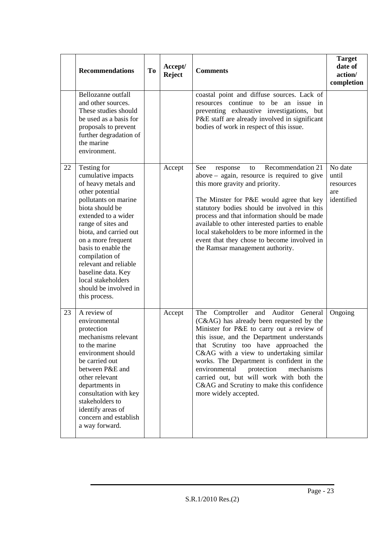|    | <b>Recommendations</b>                                                                                                                                                                                                                                                                                                                                                      | To | Accept/<br><b>Reject</b> | <b>Comments</b>                                                                                                                                                                                                                                                                                                                                                                                                                                                            | <b>Target</b><br>date of<br>action/<br>completion  |
|----|-----------------------------------------------------------------------------------------------------------------------------------------------------------------------------------------------------------------------------------------------------------------------------------------------------------------------------------------------------------------------------|----|--------------------------|----------------------------------------------------------------------------------------------------------------------------------------------------------------------------------------------------------------------------------------------------------------------------------------------------------------------------------------------------------------------------------------------------------------------------------------------------------------------------|----------------------------------------------------|
|    | Bellozanne outfall<br>and other sources.<br>These studies should<br>be used as a basis for<br>proposals to prevent<br>further degradation of<br>the marine<br>environment.                                                                                                                                                                                                  |    |                          | coastal point and diffuse sources. Lack of<br>resources continue to be an issue<br>in<br>preventing exhaustive investigations, but<br>P&E staff are already involved in significant<br>bodies of work in respect of this issue.                                                                                                                                                                                                                                            |                                                    |
| 22 | Testing for<br>cumulative impacts<br>of heavy metals and<br>other potential<br>pollutants on marine<br>biota should be<br>extended to a wider<br>range of sites and<br>biota, and carried out<br>on a more frequent<br>basis to enable the<br>compilation of<br>relevant and reliable<br>baseline data. Key<br>local stakeholders<br>should be involved in<br>this process. |    | Accept                   | Recommendation 21<br>See<br>response<br>to<br>$above - again$ , resource is required to give<br>this more gravity and priority.<br>The Minster for P&E would agree that key<br>statutory bodies should be involved in this<br>process and that information should be made<br>available to other interested parties to enable<br>local stakeholders to be more informed in the<br>event that they chose to become involved in<br>the Ramsar management authority.           | No date<br>until<br>resources<br>are<br>identified |
| 23 | A review of<br>environmental<br>protection<br>mechanisms relevant<br>to the marine<br>environment should<br>be carried out<br>between P&E and<br>other relevant<br>departments in<br>consultation with key<br>stakeholders to<br>identify areas of<br>concern and establish<br>a way forward.                                                                               |    | Accept                   | The Comptroller and Auditor General<br>(C&AG) has already been requested by the<br>Minister for P&E to carry out a review of<br>this issue, and the Department understands<br>that Scrutiny too have approached the<br>C&AG with a view to undertaking similar<br>works. The Department is confident in the<br>environmental<br>protection<br>mechanisms<br>carried out, but will work with both the<br>C&AG and Scrutiny to make this confidence<br>more widely accepted. | Ongoing                                            |